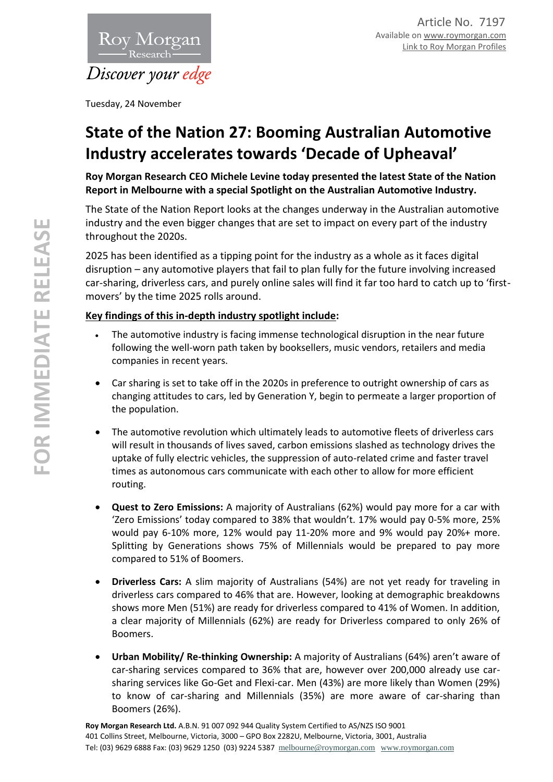

Tuesday, 24 November

## **State of the Nation 27: Booming Australian Automotive Industry accelerates towards 'Decade of Upheaval'**

**Roy Morgan Research CEO Michele Levine today presented the latest State of the Nation Report in Melbourne with a special Spotlight on the Australian Automotive Industry.**

The State of the Nation Report looks at the changes underway in the Australian automotive industry and the even bigger changes that are set to impact on every part of the industry throughout the 2020s.

2025 has been identified as a tipping point for the industry as a whole as it faces digital disruption – any automotive players that fail to plan fully for the future involving increased car-sharing, driverless cars, and purely online sales will find it far too hard to catch up to 'firstmovers' by the time 2025 rolls around.

## **Key findings of this in-depth industry spotlight include:**

- The automotive industry is facing immense technological disruption in the near future following the well-worn path taken by booksellers, music vendors, retailers and media companies in recent years.
- Car sharing is set to take off in the 2020s in preference to outright ownership of cars as changing attitudes to cars, led by Generation Y, begin to permeate a larger proportion of the population.
- The automotive revolution which ultimately leads to automotive fleets of driverless cars will result in thousands of lives saved, carbon emissions slashed as technology drives the uptake of fully electric vehicles, the suppression of auto-related crime and faster travel times as autonomous cars communicate with each other to allow for more efficient routing.
- **Quest to Zero Emissions:** A majority of Australians (62%) would pay more for a car with 'Zero Emissions' today compared to 38% that wouldn't. 17% would pay 0-5% more, 25% would pay 6-10% more, 12% would pay 11-20% more and 9% would pay 20%+ more. Splitting by Generations shows 75% of Millennials would be prepared to pay more compared to 51% of Boomers.
- **Driverless Cars:** A slim majority of Australians (54%) are not yet ready for traveling in driverless cars compared to 46% that are. However, looking at demographic breakdowns shows more Men (51%) are ready for driverless compared to 41% of Women. In addition, a clear majority of Millennials (62%) are ready for Driverless compared to only 26% of Boomers.
- **Urban Mobility/ Re-thinking Ownership:** A majority of Australians (64%) aren't aware of car-sharing services compared to 36% that are, however over 200,000 already use carsharing services like Go-Get and Flexi-car. Men (43%) are more likely than Women (29%) to know of car-sharing and Millennials (35%) are more aware of car-sharing than Boomers (26%).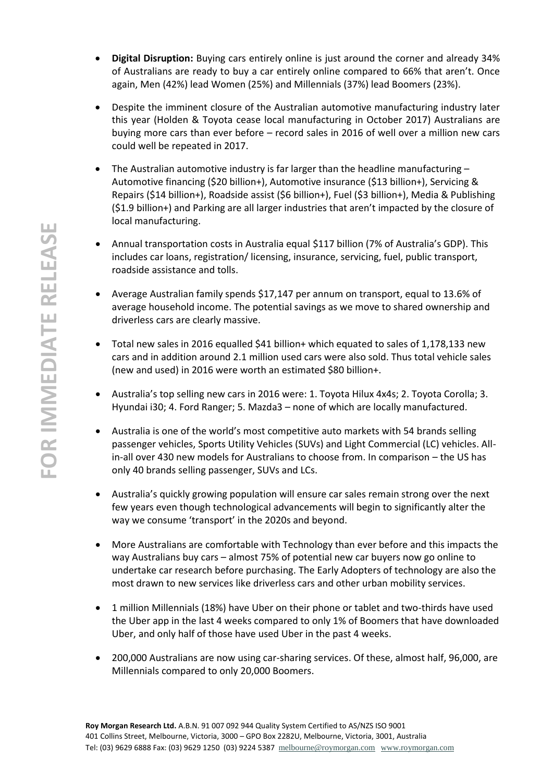- **Digital Disruption:** Buying cars entirely online is just around the corner and already 34% of Australians are ready to buy a car entirely online compared to 66% that aren't. Once again, Men (42%) lead Women (25%) and Millennials (37%) lead Boomers (23%).
- Despite the imminent closure of the Australian automotive manufacturing industry later this year (Holden & Toyota cease local manufacturing in October 2017) Australians are buying more cars than ever before – record sales in 2016 of well over a million new cars could well be repeated in 2017.
- The Australian automotive industry is far larger than the headline manufacturing  $-$ Automotive financing (\$20 billion+), Automotive insurance (\$13 billion+), Servicing & Repairs (\$14 billion+), Roadside assist (\$6 billion+), Fuel (\$3 billion+), Media & Publishing (\$1.9 billion+) and Parking are all larger industries that aren't impacted by the closure of local manufacturing.
- Annual transportation costs in Australia equal \$117 billion (7% of Australia's GDP). This includes car loans, registration/ licensing, insurance, servicing, fuel, public transport, roadside assistance and tolls.
- Average Australian family spends \$17,147 per annum on transport, equal to 13.6% of average household income. The potential savings as we move to shared ownership and driverless cars are clearly massive.
- Total new sales in 2016 equalled \$41 billion+ which equated to sales of 1,178,133 new cars and in addition around 2.1 million used cars were also sold. Thus total vehicle sales (new and used) in 2016 were worth an estimated \$80 billion+.
- Australia's top selling new cars in 2016 were: 1. Toyota Hilux 4x4s; 2. Toyota Corolla; 3. Hyundai i30; 4. Ford Ranger; 5. Mazda3 – none of which are locally manufactured.
- Australia is one of the world's most competitive auto markets with 54 brands selling passenger vehicles, Sports Utility Vehicles (SUVs) and Light Commercial (LC) vehicles. Allin-all over 430 new models for Australians to choose from. In comparison – the US has only 40 brands selling passenger, SUVs and LCs.
- Australia's quickly growing population will ensure car sales remain strong over the next few years even though technological advancements will begin to significantly alter the way we consume 'transport' in the 2020s and beyond.
- More Australians are comfortable with Technology than ever before and this impacts the way Australians buy cars – almost 75% of potential new car buyers now go online to undertake car research before purchasing. The Early Adopters of technology are also the most drawn to new services like driverless cars and other urban mobility services.
- 1 million Millennials (18%) have Uber on their phone or tablet and two-thirds have used the Uber app in the last 4 weeks compared to only 1% of Boomers that have downloaded Uber, and only half of those have used Uber in the past 4 weeks.
- 200,000 Australians are now using car-sharing services. Of these, almost half, 96,000, are Millennials compared to only 20,000 Boomers.